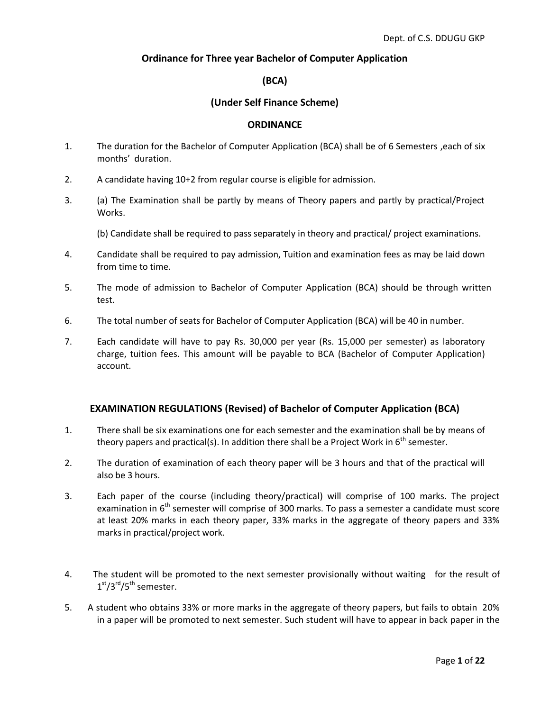#### **Ordinance for Three year Bachelor of Computer Application**

#### **(BCA)**

#### **(Under Self Finance Scheme)**

#### **ORDINANCE**

- 1. The duration for the Bachelor of Computer Application (BCA) shall be of 6 Semesters ,each of six months' duration.
- 2. A candidate having 10+2 from regular course is eligible for admission.
- 3. (a) The Examination shall be partly by means of Theory papers and partly by practical/Project Works.

(b) Candidate shall be required to pass separately in theory and practical/ project examinations.

- 4. Candidate shall be required to pay admission, Tuition and examination fees as may be laid down from time to time.
- 5. The mode of admission to Bachelor of Computer Application (BCA) should be through written test.
- 6. The total number of seats for Bachelor of Computer Application (BCA) will be 40 in number.
- 7. Each candidate will have to pay Rs. 30,000 per year (Rs. 15,000 per semester) as laboratory charge, tuition fees. This amount will be payable to BCA (Bachelor of Computer Application) account.

#### **EXAMINATION REGULATIONS (Revised) of Bachelor of Computer Application (BCA)**

- 1. There shall be six examinations one for each semester and the examination shall be by means of theory papers and practical(s). In addition there shall be a Project Work in  $6^{th}$  semester.
- 2. The duration of examination of each theory paper will be 3 hours and that of the practical will also be 3 hours.
- 3. Each paper of the course (including theory/practical) will comprise of 100 marks. The project examination in  $6<sup>th</sup>$  semester will comprise of 300 marks. To pass a semester a candidate must score at least 20% marks in each theory paper, 33% marks in the aggregate of theory papers and 33% marks in practical/project work.
- 4. The student will be promoted to the next semester provisionally without waiting for the result of  $1<sup>st</sup>/3<sup>rd</sup>/5<sup>th</sup> semester.$
- 5. A student who obtains 33% or more marks in the aggregate of theory papers, but fails to obtain 20% in a paper will be promoted to next semester. Such student will have to appear in back paper in the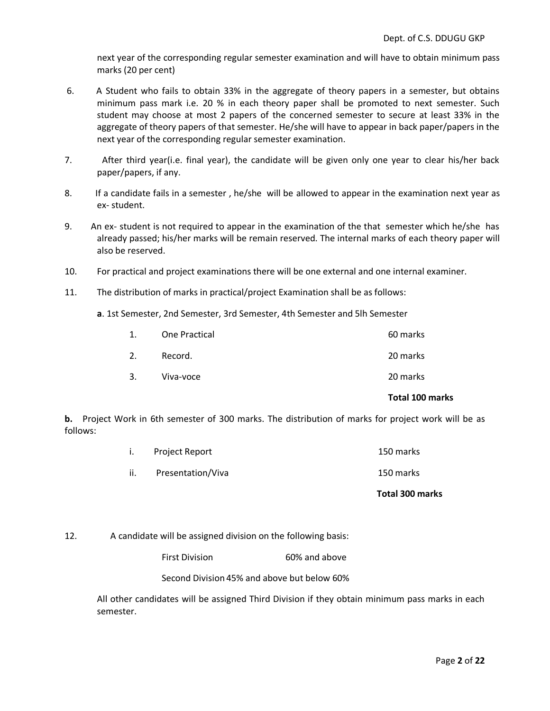next year of the corresponding regular semester examination and will have to obtain minimum pass marks (20 per cent)

- 6. A Student who fails to obtain 33% in the aggregate of theory papers in a semester, but obtains minimum pass mark i.e. 20 % in each theory paper shall be promoted to next semester. Such student may choose at most 2 papers of the concerned semester to secure at least 33% in the aggregate of theory papers of that semester. He/she will have to appear in back paper/papers in the next year of the corresponding regular semester examination.
- 7. After third year(i.e. final year), the candidate will be given only one year to clear his/her back paper/papers, if any.
- 8. If a candidate fails in a semester , he/she will be allowed to appear in the examination next year as ex- student.
- 9. An ex- student is not required to appear in the examination of the that semester which he/she has already passed; his/her marks will be remain reserved. The internal marks of each theory paper will also be reserved.
- 10. For practical and project examinations there will be one external and one internal examiner.
- 11. The distribution of marks in practical/project Examination shall be as follows:

**a**. 1st Semester, 2nd Semester, 3rd Semester, 4th Semester and 5lh Semester

|    |                      | Total 100 marks |
|----|----------------------|-----------------|
| 3. | Viva-voce            | 20 marks        |
| 2. | Record.              | 20 marks        |
| 1. | <b>One Practical</b> | 60 marks        |

**b.** Project Work in 6th semester of 300 marks. The distribution of marks for project work will be as follows:

|     | i. Project Report | 150 marks |
|-----|-------------------|-----------|
| ii. | Presentation/Viva | 150 marks |

#### **Total 300 marks**

#### 12. A candidate will be assigned division on the following basis:

First Division 60% and above

Second Division 45% and above but below 60%

All other candidates will be assigned Third Division if they obtain minimum pass marks in each semester.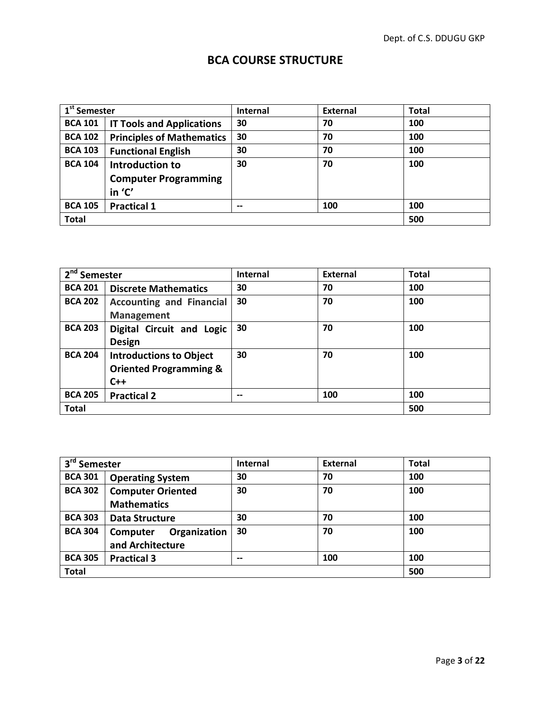### **BCA COURSE STRUCTURE**

| 1 <sup>st</sup> Semester |                                  | <b>Internal</b> | <b>External</b> | <b>Total</b> |
|--------------------------|----------------------------------|-----------------|-----------------|--------------|
| <b>BCA 101</b>           | <b>IT Tools and Applications</b> | 30              | 70              | 100          |
| <b>BCA 102</b>           | <b>Principles of Mathematics</b> | 30              | 70              | 100          |
| <b>BCA 103</b>           | <b>Functional English</b>        | 30              | 70              | 100          |
| <b>BCA 104</b>           | Introduction to                  | 30              | 70              | 100          |
|                          | <b>Computer Programming</b>      |                 |                 |              |
|                          | in 'C'                           |                 |                 |              |
| <b>BCA 105</b>           | <b>Practical 1</b>               | $- -$           | 100             | 100          |
| <b>Total</b>             |                                  |                 |                 | 500          |

| $2nd$ Semester |                                                                              | <b>Internal</b> | External | <b>Total</b> |
|----------------|------------------------------------------------------------------------------|-----------------|----------|--------------|
| <b>BCA 201</b> | <b>Discrete Mathematics</b>                                                  | 30              | 70       | 100          |
| <b>BCA 202</b> | <b>Accounting and Financial</b><br><b>Management</b>                         | 30              | 70       | 100          |
| <b>BCA 203</b> | Digital Circuit and Logic<br><b>Design</b>                                   | 30              | 70       | 100          |
| <b>BCA 204</b> | <b>Introductions to Object</b><br><b>Oriented Programming &amp;</b><br>$C++$ | 30              | 70       | 100          |
| <b>BCA 205</b> | <b>Practical 2</b>                                                           | $- -$           | 100      | 100          |
| <b>Total</b>   |                                                                              |                 |          | 500          |

| $3rd$ Semester |                          | Internal | <b>External</b> | <b>Total</b> |
|----------------|--------------------------|----------|-----------------|--------------|
| <b>BCA 301</b> | <b>Operating System</b>  | 30       | 70              | 100          |
| <b>BCA 302</b> | <b>Computer Oriented</b> | 30       | 70              | 100          |
|                | <b>Mathematics</b>       |          |                 |              |
| <b>BCA 303</b> | <b>Data Structure</b>    | 30       | 70              | 100          |
| <b>BCA 304</b> | Organization<br>Computer | 30       | 70              | 100          |
|                | and Architecture         |          |                 |              |
| <b>BCA 305</b> | <b>Practical 3</b>       | $- -$    | 100             | 100          |
| <b>Total</b>   |                          |          |                 | 500          |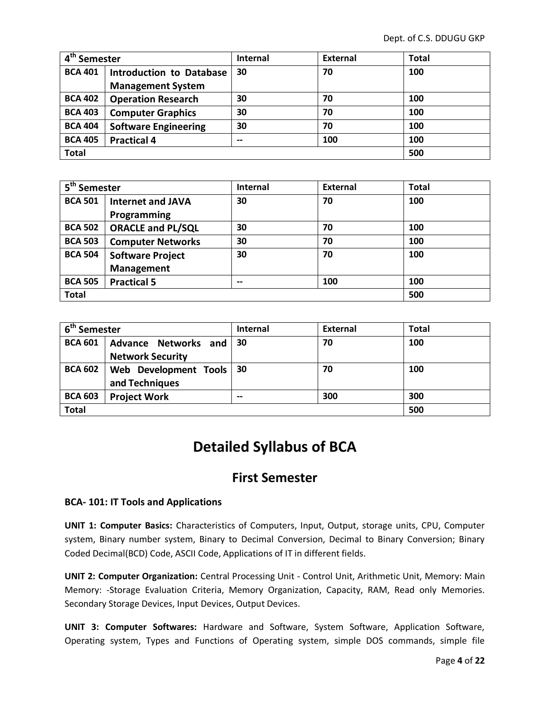| $\overline{4^{th}}$ Semester |                                 | <b>Internal</b> | <b>External</b> | <b>Total</b> |
|------------------------------|---------------------------------|-----------------|-----------------|--------------|
| <b>BCA 401</b>               | <b>Introduction to Database</b> | 30              | 70              | 100          |
|                              | <b>Management System</b>        |                 |                 |              |
| <b>BCA 402</b>               | <b>Operation Research</b>       | 30              | 70              | 100          |
| <b>BCA 403</b>               | <b>Computer Graphics</b>        | 30              | 70              | 100          |
| <b>BCA 404</b>               | <b>Software Engineering</b>     | 30              | 70              | 100          |
| <b>BCA 405</b>               | <b>Practical 4</b>              | $- -$           | 100             | 100          |
| <b>Total</b>                 |                                 |                 |                 | 500          |

| 5 <sup>th</sup> Semester |                          | <b>Internal</b> | <b>External</b> | <b>Total</b> |
|--------------------------|--------------------------|-----------------|-----------------|--------------|
| <b>BCA 501</b>           | <b>Internet and JAVA</b> | 30              | 70              | 100          |
|                          | Programming              |                 |                 |              |
| <b>BCA 502</b>           | <b>ORACLE and PL/SQL</b> | 30              | 70              | 100          |
| <b>BCA 503</b>           | <b>Computer Networks</b> | 30              | 70              | 100          |
| <b>BCA 504</b>           | <b>Software Project</b>  | 30              | 70              | 100          |
|                          | <b>Management</b>        |                 |                 |              |
| <b>BCA 505</b>           | <b>Practical 5</b>       | --              | 100             | 100          |
| <b>Total</b>             |                          |                 | 500             |              |

| 6 <sup>th</sup> Semester |                                                        | <b>Internal</b> | <b>External</b> | <b>Total</b> |
|--------------------------|--------------------------------------------------------|-----------------|-----------------|--------------|
| <b>BCA 601</b>           | <b>Advance Networks and</b><br><b>Network Security</b> | 30              | 70              | 100          |
| <b>BCA 602</b>           | Web Development Tools<br>and Techniques                | 30              | 70              | 100          |
| <b>BCA 603</b>           | <b>Project Work</b>                                    | $- -$           | 300             | 300          |
| <b>Total</b>             |                                                        |                 | 500             |              |

# **Detailed Syllabus of BCA**

### **First Semester**

#### **BCA- 101: IT Tools and Applications**

**UNIT 1: Computer Basics:** Characteristics of Computers, Input, Output, storage units, CPU, Computer system, Binary number system, Binary to Decimal Conversion, Decimal to Binary Conversion; Binary Coded Decimal(BCD) Code, ASCII Code, Applications of IT in different fields.

**UNIT 2: Computer Organization:** Central Processing Unit - Control Unit, Arithmetic Unit, Memory: Main Memory: -Storage Evaluation Criteria, Memory Organization, Capacity, RAM, Read only Memories. Secondary Storage Devices, Input Devices, Output Devices.

**UNIT 3: Computer Softwares:** Hardware and Software, System Software, Application Software, Operating system, Types and Functions of Operating system, simple DOS commands, simple file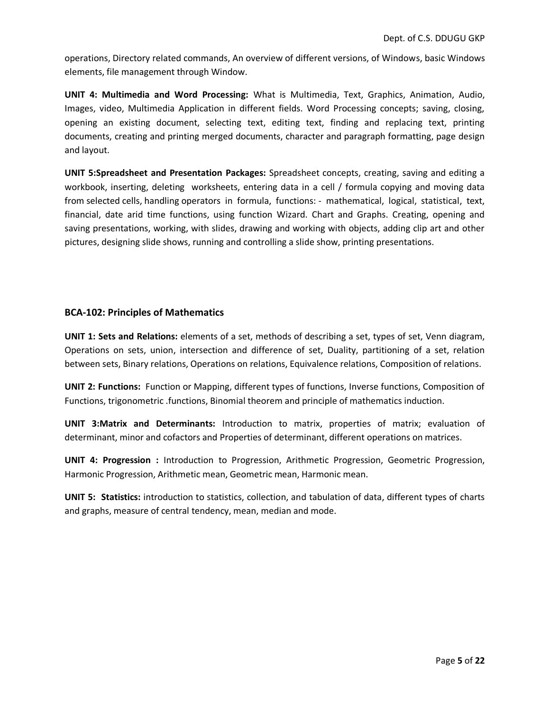operations, Directory related commands, An overview of different versions, of Windows, basic Windows elements, file management through Window.

**UNIT 4: Multimedia and Word Processing:** What is Multimedia, Text, Graphics, Animation, Audio, Images, video, Multimedia Application in different fields. Word Processing concepts; saving, closing, opening an existing document, selecting text, editing text, finding and replacing text, printing documents, creating and printing merged documents, character and paragraph formatting, page design and layout.

**UNIT 5:Spreadsheet and Presentation Packages:** Spreadsheet concepts, creating, saving and editing a workbook, inserting, deleting worksheets, entering data in a cell / formula copying and moving data from selected cells, handling operators in formula, functions: - mathematical, logical, statistical, text, financial, date arid time functions, using function Wizard. Chart and Graphs. Creating, opening and saving presentations, working, with slides, drawing and working with objects, adding clip art and other pictures, designing slide shows, running and controlling a slide show, printing presentations.

#### **BCA-102: Principles of Mathematics**

**UNIT 1: Sets and Relations:** elements of a set, methods of describing a set, types of set, Venn diagram, Operations on sets, union, intersection and difference of set, Duality, partitioning of a set, relation between sets, Binary relations, Operations on relations, Equivalence relations, Composition of relations.

**UNIT 2: Functions:** Function or Mapping, different types of functions, Inverse functions, Composition of Functions, trigonometric .functions, Binomial theorem and principle of mathematics induction.

**UNIT 3:Matrix and Determinants:** Introduction to matrix, properties of matrix; evaluation of determinant, minor and cofactors and Properties of determinant, different operations on matrices.

**UNIT 4: Progression :** Introduction to Progression, Arithmetic Progression, Geometric Progression, Harmonic Progression, Arithmetic mean, Geometric mean, Harmonic mean.

**UNIT 5: Statistics:** introduction to statistics, collection, and tabulation of data, different types of charts and graphs, measure of central tendency, mean, median and mode.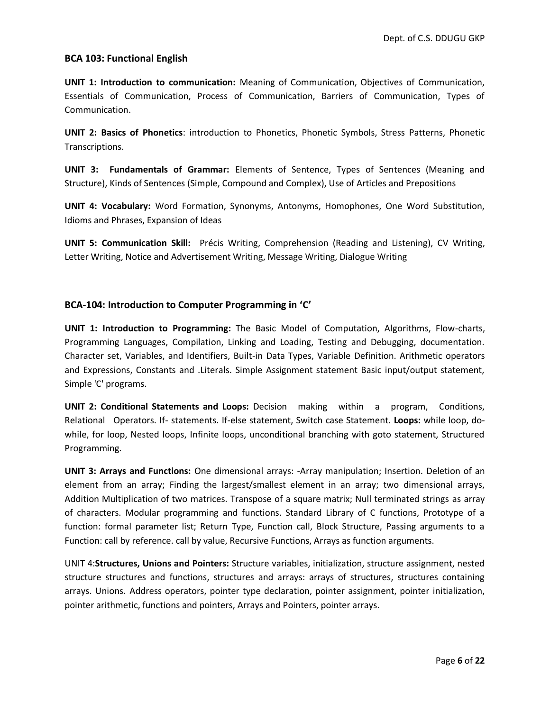#### **BCA 103: Functional English**

**UNIT 1: Introduction to communication:** Meaning of Communication, Objectives of Communication, Essentials of Communication, Process of Communication, Barriers of Communication, Types of Communication.

**UNIT 2: Basics of Phonetics**: introduction to Phonetics, Phonetic Symbols, Stress Patterns, Phonetic Transcriptions.

**UNIT 3: Fundamentals of Grammar:** Elements of Sentence, Types of Sentences (Meaning and Structure), Kinds of Sentences (Simple, Compound and Complex), Use of Articles and Prepositions

**UNIT 4: Vocabulary:** Word Formation, Synonyms, Antonyms, Homophones, One Word Substitution, Idioms and Phrases, Expansion of Ideas

**UNIT 5: Communication Skill:** Précis Writing, Comprehension (Reading and Listening), CV Writing, Letter Writing, Notice and Advertisement Writing, Message Writing, Dialogue Writing

#### **BCA-104: Introduction to Computer Programming in 'C'**

**UNIT 1: Introduction to Programming:** The Basic Model of Computation, Algorithms, Flow-charts, Programming Languages, Compilation, Linking and Loading, Testing and Debugging, documentation. Character set, Variables, and Identifiers, Built-in Data Types, Variable Definition. Arithmetic operators and Expressions, Constants and .Literals. Simple Assignment statement Basic input/output statement, Simple 'C' programs.

**UNIT 2: Conditional Statements and Loops:** Decision making within a program, Conditions, Relational Operators. If- statements. If-else statement, Switch case Statement. **Loops:** while loop, dowhile, for loop, Nested loops, Infinite loops, unconditional branching with goto statement, Structured Programming.

**UNIT 3: Arrays and Functions:** One dimensional arrays: -Array manipulation; Insertion. Deletion of an element from an array; Finding the largest/smallest element in an array; two dimensional arrays, Addition Multiplication of two matrices. Transpose of a square matrix; Null terminated strings as array of characters. Modular programming and functions. Standard Library of C functions, Prototype of a function: formal parameter list; Return Type, Function call, Block Structure, Passing arguments to a Function: call by reference. call by value, Recursive Functions, Arrays as function arguments.

UNIT 4:**Structures, Unions and Pointers:** Structure variables, initialization, structure assignment, nested structure structures and functions, structures and arrays: arrays of structures, structures containing arrays. Unions. Address operators, pointer type declaration, pointer assignment, pointer initialization, pointer arithmetic, functions and pointers, Arrays and Pointers, pointer arrays.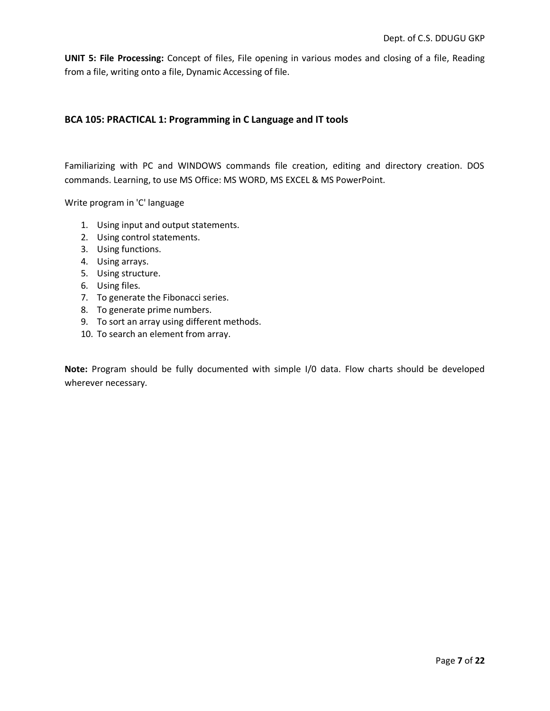**UNIT 5: File Processing:** Concept of files, File opening in various modes and closing of a file, Reading from a file, writing onto a file, Dynamic Accessing of file.

#### **BCA 105: PRACTICAL 1: Programming in C Language and IT tools**

Familiarizing with PC and WINDOWS commands file creation, editing and directory creation. DOS commands. Learning, to use MS Office: MS WORD, MS EXCEL & MS PowerPoint.

Write program in 'C' language

- 1. Using input and output statements.
- 2. Using control statements.
- 3. Using functions.
- 4. Using arrays.
- 5. Using structure.
- 6. Using files.
- 7. To generate the Fibonacci series.
- 8. To generate prime numbers.
- 9. To sort an array using different methods.
- 10. To search an element from array.

**Note:** Program should be fully documented with simple I/0 data. Flow charts should be developed wherever necessary.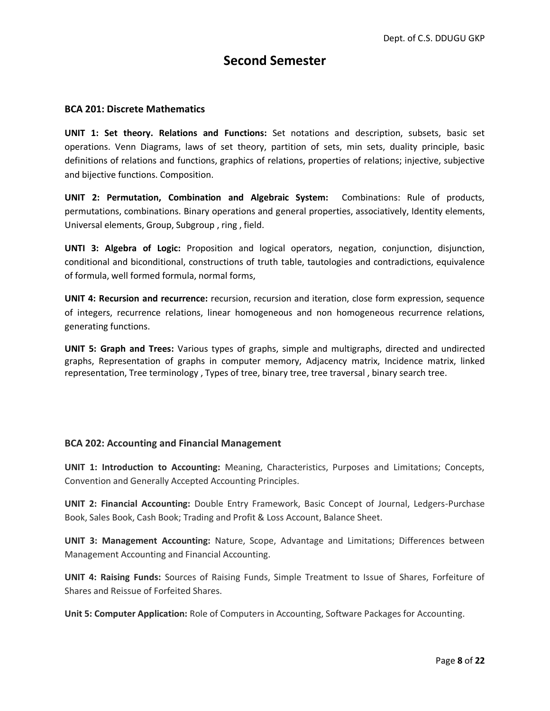### **Second Semester**

#### **BCA 201: Discrete Mathematics**

**UNIT 1: Set theory. Relations and Functions:** Set notations and description, subsets, basic set operations. Venn Diagrams, laws of set theory, partition of sets, min sets, duality principle, basic definitions of relations and functions, graphics of relations, properties of relations; injective, subjective and bijective functions. Composition.

**UNIT 2: Permutation, Combination and Algebraic System:** Combinations: Rule of products, permutations, combinations. Binary operations and general properties, associatively, Identity elements, Universal elements, Group, Subgroup , ring , field.

**UNTI 3: Algebra of Logic:** Proposition and logical operators, negation, conjunction, disjunction, conditional and biconditional, constructions of truth table, tautologies and contradictions, equivalence of formula, well formed formula, normal forms,

**UNIT 4: Recursion and recurrence:** recursion, recursion and iteration, close form expression, sequence of integers, recurrence relations, linear homogeneous and non homogeneous recurrence relations, generating functions.

**UNIT 5: Graph and Trees:** Various types of graphs, simple and multigraphs, directed and undirected graphs, Representation of graphs in computer memory, Adjacency matrix, Incidence matrix, linked representation, Tree terminology , Types of tree, binary tree, tree traversal , binary search tree.

#### **BCA 202: Accounting and Financial Management**

**UNIT 1: Introduction to Accounting:** Meaning, Characteristics, Purposes and Limitations; Concepts, Convention and Generally Accepted Accounting Principles.

**UNIT 2: Financial Accounting:** Double Entry Framework, Basic Concept of Journal, Ledgers-Purchase Book, Sales Book, Cash Book; Trading and Profit & Loss Account, Balance Sheet.

**UNIT 3: Management Accounting:** Nature, Scope, Advantage and Limitations; Differences between Management Accounting and Financial Accounting.

**UNIT 4: Raising Funds:** Sources of Raising Funds, Simple Treatment to Issue of Shares, Forfeiture of Shares and Reissue of Forfeited Shares.

**Unit 5: Computer Application:** Role of Computers in Accounting, Software Packages for Accounting.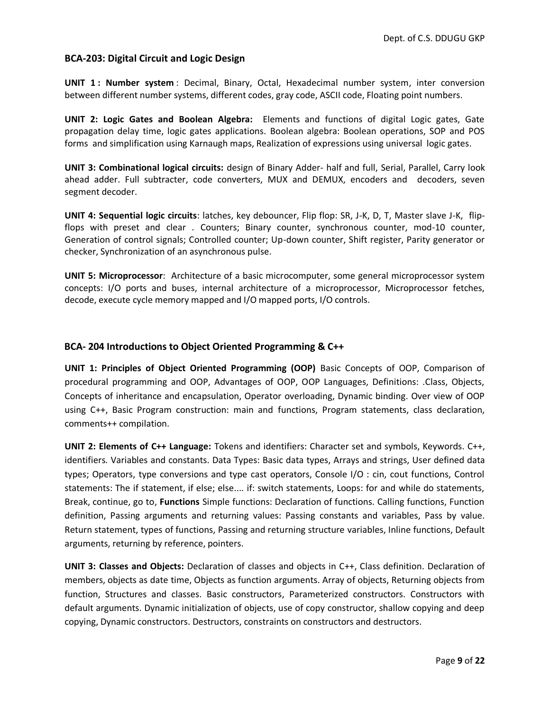#### **BCA-203: Digital Circuit and Logic Design**

**UNIT 1 : Number system** : Decimal, Binary, Octal, Hexadecimal number system, inter conversion between different number systems, different codes, gray code, ASCII code, Floating point numbers.

**UNIT 2: Logic Gates and Boolean Algebra:** Elements and functions of digital Logic gates, Gate propagation delay time, logic gates applications. Boolean algebra: Boolean operations, SOP and POS forms and simplification using Karnaugh maps, Realization of expressions using universal logic gates.

**UNIT 3: Combinational logical circuits:** design of Binary Adder- half and full, Serial, Parallel, Carry look ahead adder. Full subtracter, code converters, MUX and DEMUX, encoders and decoders, seven segment decoder.

**UNIT 4: Sequential logic circuits**: latches, key debouncer, Flip flop: SR, J-K, D, T, Master slave J-K, flipflops with preset and clear . Counters; Binary counter, synchronous counter, mod-10 counter, Generation of control signals; Controlled counter; Up-down counter, Shift register, Parity generator or checker, Synchronization of an asynchronous pulse.

**UNIT 5: Microprocessor**: Architecture of a basic microcomputer, some general microprocessor system concepts: I/O ports and buses, internal architecture of a microprocessor, Microprocessor fetches, decode, execute cycle memory mapped and I/O mapped ports, I/O controls.

#### **BCA- 204 Introductions to Object Oriented Programming & C++**

**UNIT 1: Principles of Object Oriented Programming (OOP)** Basic Concepts of OOP, Comparison of procedural programming and OOP, Advantages of OOP, OOP Languages, Definitions: .Class, Objects, Concepts of inheritance and encapsulation, Operator overloading, Dynamic binding. Over view of OOP using C++, Basic Program construction: main and functions, Program statements, class declaration, comments++ compilation.

**UNIT 2: Elements of C++ Language:** Tokens and identifiers: Character set and symbols, Keywords. C++, identifiers. Variables and constants. Data Types: Basic data types, Arrays and strings, User defined data types; Operators, type conversions and type cast operators, Console I/O : cin, cout functions, Control statements: The if statement, if else; else.... if: switch statements, Loops: for and while do statements, Break, continue, go to, **Functions** Simple functions: Declaration of functions. Calling functions, Function definition, Passing arguments and returning values: Passing constants and variables, Pass by value. Return statement, types of functions, Passing and returning structure variables, Inline functions, Default arguments, returning by reference, pointers.

**UNIT 3: Classes and Objects:** Declaration of classes and objects in C++, Class definition. Declaration of members, objects as date time, Objects as function arguments. Array of objects, Returning objects from function, Structures and classes. Basic constructors, Parameterized constructors. Constructors with default arguments. Dynamic initialization of objects, use of copy constructor, shallow copying and deep copying, Dynamic constructors. Destructors, constraints on constructors and destructors.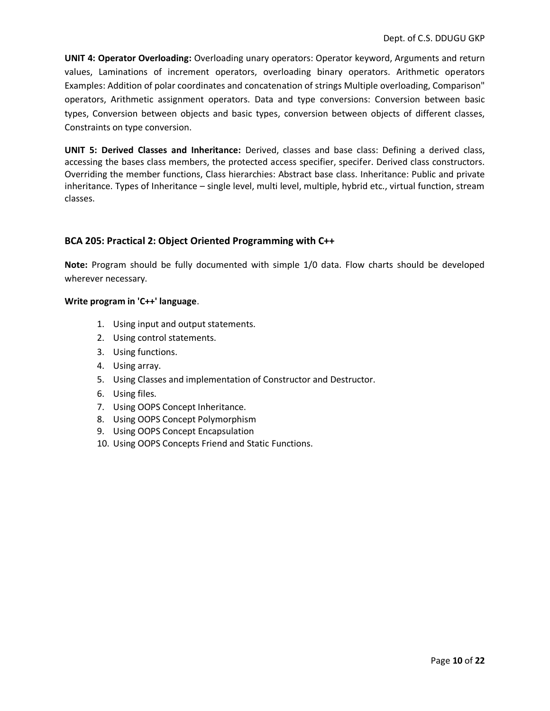**UNIT 4: Operator Overloading:** Overloading unary operators: Operator keyword, Arguments and return values, Laminations of increment operators, overloading binary operators. Arithmetic operators Examples: Addition of polar coordinates and concatenation of strings Multiple overloading, Comparison" operators, Arithmetic assignment operators. Data and type conversions: Conversion between basic types, Conversion between objects and basic types, conversion between objects of different classes, Constraints on type conversion.

**UNIT 5: Derived Classes and Inheritance:** Derived, classes and base class: Defining a derived class, accessing the bases class members, the protected access specifier, specifer. Derived class constructors. Overriding the member functions, Class hierarchies: Abstract base class. Inheritance: Public and private inheritance. Types of Inheritance – single level, multi level, multiple, hybrid etc., virtual function, stream classes.

#### **BCA 205: Practical 2: Object Oriented Programming with C++**

**Note:** Program should be fully documented with simple 1/0 data. Flow charts should be developed wherever necessary.

#### **Write program in 'C++' language**.

- 1. Using input and output statements.
- 2. Using control statements.
- 3. Using functions.
- 4. Using array.
- 5. Using Classes and implementation of Constructor and Destructor.
- 6. Using files.
- 7. Using OOPS Concept Inheritance.
- 8. Using OOPS Concept Polymorphism
- 9. Using OOPS Concept Encapsulation
- 10. Using OOPS Concepts Friend and Static Functions.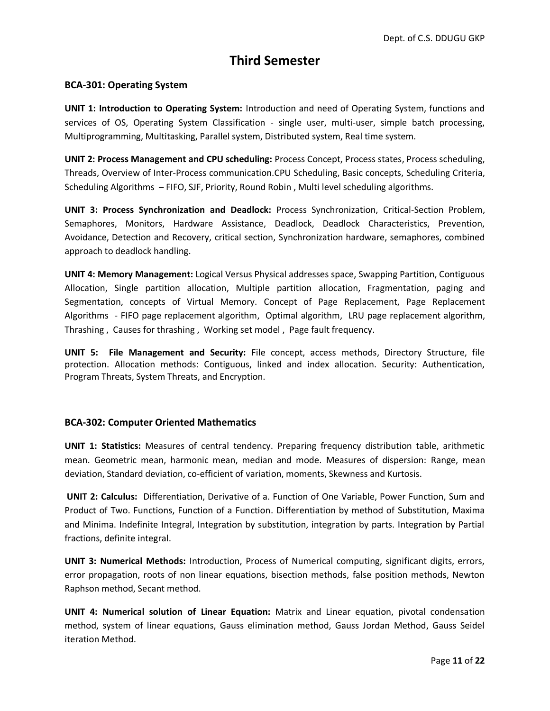# **Third Semester**

#### **BCA-301: Operating System**

**UNIT 1: Introduction to Operating System:** Introduction and need of Operating System, functions and services of OS, Operating System Classification - single user, multi-user, simple batch processing, Multiprogramming, Multitasking, Parallel system, Distributed system, Real time system.

**UNIT 2: Process Management and CPU scheduling:** Process Concept, Process states, Process scheduling, Threads, Overview of Inter-Process communication.CPU Scheduling, Basic concepts, Scheduling Criteria, Scheduling Algorithms – FIFO, SJF, Priority, Round Robin , Multi level scheduling algorithms.

**UNIT 3: Process Synchronization and Deadlock:** Process Synchronization, Critical-Section Problem, Semaphores, Monitors, Hardware Assistance, Deadlock, Deadlock Characteristics, Prevention, Avoidance, Detection and Recovery, critical section, Synchronization hardware, semaphores, combined approach to deadlock handling.

**UNIT 4: Memory Management:** Logical Versus Physical addresses space, Swapping Partition, Contiguous Allocation, Single partition allocation, Multiple partition allocation, Fragmentation, paging and Segmentation, concepts of Virtual Memory. Concept of Page Replacement, Page Replacement Algorithms - FIFO page replacement algorithm, Optimal algorithm, LRU page replacement algorithm, Thrashing , Causes for thrashing , Working set model , Page fault frequency.

**UNIT 5: File Management and Security:** File concept, access methods, Directory Structure, file protection. Allocation methods: Contiguous, linked and index allocation. Security: Authentication, Program Threats, System Threats, and Encryption.

#### **BCA-302: Computer Oriented Mathematics**

**UNIT 1: Statistics:** Measures of central tendency. Preparing frequency distribution table, arithmetic mean. Geometric mean, harmonic mean, median and mode. Measures of dispersion: Range, mean deviation, Standard deviation, co-efficient of variation, moments, Skewness and Kurtosis.

**UNIT 2: Calculus:** Differentiation, Derivative of a. Function of One Variable, Power Function, Sum and Product of Two. Functions, Function of a Function. Differentiation by method of Substitution, Maxima and Minima. Indefinite Integral, Integration by substitution, integration by parts. Integration by Partial fractions, definite integral.

**UNIT 3: Numerical Methods:** Introduction, Process of Numerical computing, significant digits, errors, error propagation, roots of non linear equations, bisection methods, false position methods, Newton Raphson method, Secant method.

**UNIT 4: Numerical solution of Linear Equation:** Matrix and Linear equation, pivotal condensation method, system of linear equations, Gauss elimination method, Gauss Jordan Method, Gauss Seidel iteration Method.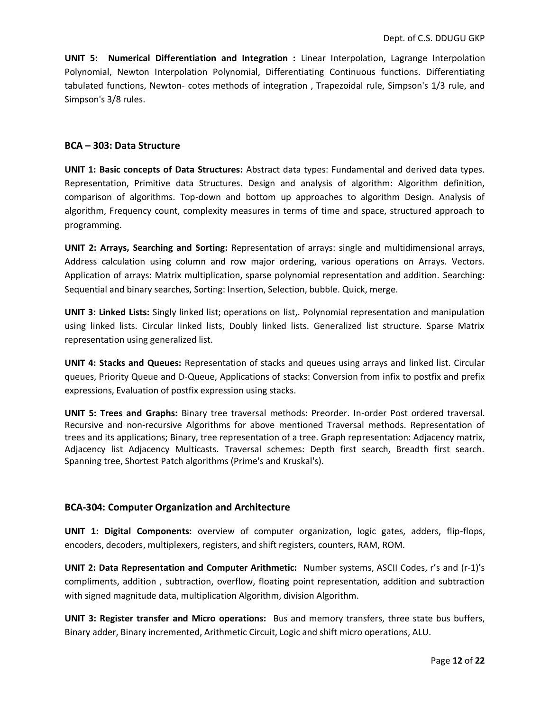**UNIT 5: Numerical Differentiation and Integration :** Linear Interpolation, Lagrange Interpolation Polynomial, Newton Interpolation Polynomial, Differentiating Continuous functions. Differentiating tabulated functions, Newton- cotes methods of integration , Trapezoidal rule, Simpson's 1/3 rule, and Simpson's 3/8 rules.

#### **BCA – 303: Data Structure**

**UNIT 1: Basic concepts of Data Structures:** Abstract data types: Fundamental and derived data types. Representation, Primitive data Structures. Design and analysis of algorithm: Algorithm definition, comparison of algorithms. Top-down and bottom up approaches to algorithm Design. Analysis of algorithm, Frequency count, complexity measures in terms of time and space, structured approach to programming.

**UNIT 2: Arrays, Searching and Sorting:** Representation of arrays: single and multidimensional arrays, Address calculation using column and row major ordering, various operations on Arrays. Vectors. Application of arrays: Matrix multiplication, sparse polynomial representation and addition. Searching: Sequential and binary searches, Sorting: Insertion, Selection, bubble. Quick, merge.

**UNIT 3: Linked Lists:** Singly linked list; operations on list,. Polynomial representation and manipulation using linked lists. Circular linked lists, Doubly linked lists. Generalized list structure. Sparse Matrix representation using generalized list.

**UNIT 4: Stacks and Queues:** Representation of stacks and queues using arrays and linked list. Circular queues, Priority Queue and D-Queue, Applications of stacks: Conversion from infix to postfix and prefix expressions, Evaluation of postfix expression using stacks.

**UNIT 5: Trees and Graphs:** Binary tree traversal methods: Preorder. In-order Post ordered traversal. Recursive and non-recursive Algorithms for above mentioned Traversal methods. Representation of trees and its applications; Binary, tree representation of a tree. Graph representation: Adjacency matrix, Adjacency list Adjacency Multicasts. Traversal schemes: Depth first search, Breadth first search. Spanning tree, Shortest Patch algorithms (Prime's and Kruskal's).

#### **BCA-304: Computer Organization and Architecture**

**UNIT 1: Digital Components:** overview of computer organization, logic gates, adders, flip-flops, encoders, decoders, multiplexers, registers, and shift registers, counters, RAM, ROM.

**UNIT 2: Data Representation and Computer Arithmetic:** Number systems, ASCII Codes, r's and (r-1)'s compliments, addition , subtraction, overflow, floating point representation, addition and subtraction with signed magnitude data, multiplication Algorithm, division Algorithm.

**UNIT 3: Register transfer and Micro operations:** Bus and memory transfers, three state bus buffers, Binary adder, Binary incremented, Arithmetic Circuit, Logic and shift micro operations, ALU.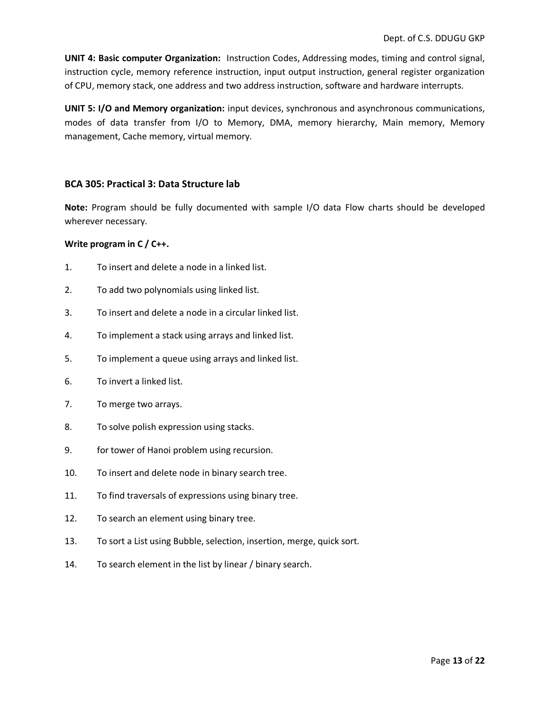**UNIT 4: Basic computer Organization:** Instruction Codes, Addressing modes, timing and control signal, instruction cycle, memory reference instruction, input output instruction, general register organization of CPU, memory stack, one address and two address instruction, software and hardware interrupts.

**UNIT 5: I/O and Memory organization:** input devices, synchronous and asynchronous communications, modes of data transfer from I/O to Memory, DMA, memory hierarchy, Main memory, Memory management, Cache memory, virtual memory.

#### **BCA 305: Practical 3: Data Structure lab**

**Note:** Program should be fully documented with sample I/O data Flow charts should be developed wherever necessary.

#### **Write program in C / C++.**

- 1. To insert and delete a node in a linked list.
- 2. To add two polynomials using linked list.
- 3. To insert and delete a node in a circular linked list.
- 4. To implement a stack using arrays and linked list.
- 5. To implement a queue using arrays and linked list.
- 6. To invert a linked list.
- 7. To merge two arrays.
- 8. To solve polish expression using stacks.
- 9. for tower of Hanoi problem using recursion.
- 10. To insert and delete node in binary search tree.
- 11. To find traversals of expressions using binary tree.
- 12. To search an element using binary tree.
- 13. To sort a List using Bubble, selection, insertion, merge, quick sort.
- 14. To search element in the list by linear / binary search.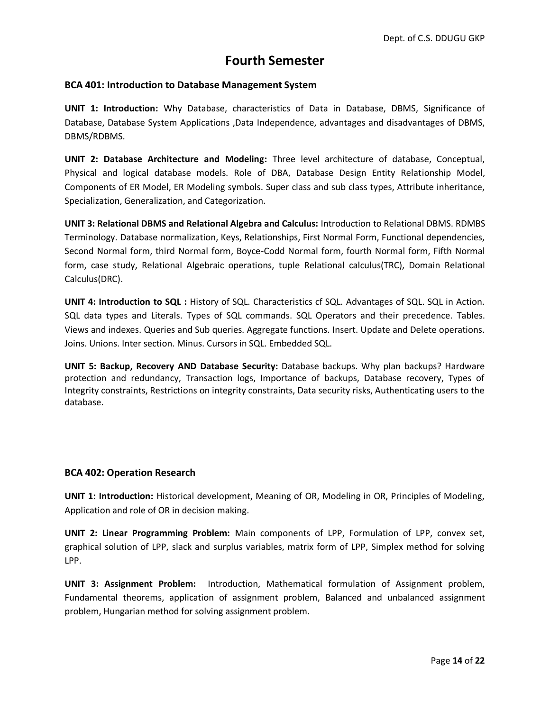# **Fourth Semester**

#### **BCA 401: Introduction to Database Management System**

**UNIT 1: Introduction:** Why Database, characteristics of Data in Database, DBMS, Significance of Database, Database System Applications ,Data Independence, advantages and disadvantages of DBMS, DBMS/RDBMS.

**UNIT 2: Database Architecture and Modeling:** Three level architecture of database, Conceptual, Physical and logical database models. Role of DBA, Database Design Entity Relationship Model, Components of ER Model, ER Modeling symbols. Super class and sub class types, Attribute inheritance, Specialization, Generalization, and Categorization.

**UNIT 3: Relational DBMS and Relational Algebra and Calculus:** Introduction to Relational DBMS. RDMBS Terminology. Database normalization, Keys, Relationships, First Normal Form, Functional dependencies, Second Normal form, third Normal form, Boyce-Codd Normal form, fourth Normal form, Fifth Normal form, case study, Relational Algebraic operations, tuple Relational calculus(TRC), Domain Relational Calculus(DRC).

**UNIT 4: Introduction to SQL :** History of SQL. Characteristics cf SQL. Advantages of SQL. SQL in Action. SQL data types and Literals. Types of SQL commands. SQL Operators and their precedence. Tables. Views and indexes. Queries and Sub queries. Aggregate functions. Insert. Update and Delete operations. Joins. Unions. Inter section. Minus. Cursors in SQL. Embedded SQL.

**UNIT 5: Backup, Recovery AND Database Security:** Database backups. Why plan backups? Hardware protection and redundancy, Transaction logs, Importance of backups, Database recovery, Types of Integrity constraints, Restrictions on integrity constraints, Data security risks, Authenticating users to the database.

#### **BCA 402: Operation Research**

**UNIT 1: Introduction:** Historical development, Meaning of OR, Modeling in OR, Principles of Modeling, Application and role of OR in decision making.

**UNIT 2: Linear Programming Problem:** Main components of LPP, Formulation of LPP, convex set, graphical solution of LPP, slack and surplus variables, matrix form of LPP, Simplex method for solving LPP.

**UNIT 3: Assignment Problem:** Introduction, Mathematical formulation of Assignment problem, Fundamental theorems, application of assignment problem, Balanced and unbalanced assignment problem, Hungarian method for solving assignment problem.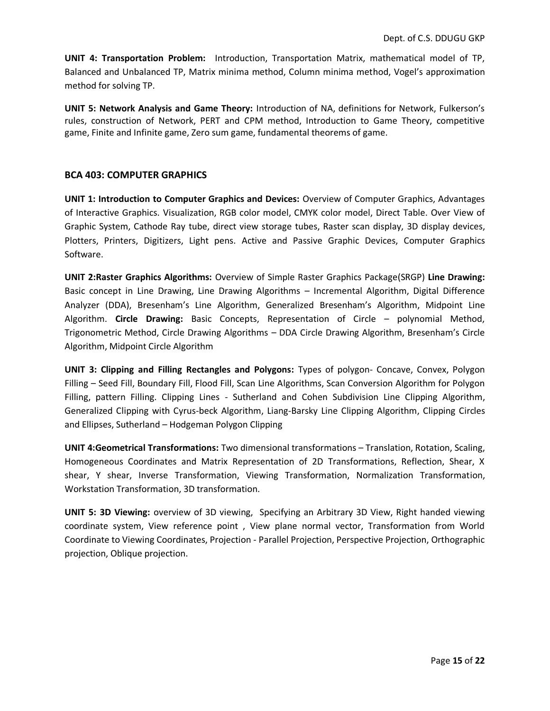**UNIT 4: Transportation Problem:** Introduction, Transportation Matrix, mathematical model of TP, Balanced and Unbalanced TP, Matrix minima method, Column minima method, Vogel's approximation method for solving TP.

**UNIT 5: Network Analysis and Game Theory:** Introduction of NA, definitions for Network, Fulkerson's rules, construction of Network, PERT and CPM method, Introduction to Game Theory, competitive game, Finite and Infinite game, Zero sum game, fundamental theorems of game.

#### **BCA 403: COMPUTER GRAPHICS**

**UNIT 1: Introduction to Computer Graphics and Devices:** Overview of Computer Graphics, Advantages of Interactive Graphics. Visualization, RGB color model, CMYK color model, Direct Table. Over View of Graphic System, Cathode Ray tube, direct view storage tubes, Raster scan display, 3D display devices, Plotters, Printers, Digitizers, Light pens. Active and Passive Graphic Devices, Computer Graphics Software.

**UNIT 2:Raster Graphics Algorithms:** Overview of Simple Raster Graphics Package(SRGP) **Line Drawing:** Basic concept in Line Drawing, Line Drawing Algorithms – Incremental Algorithm, Digital Difference Analyzer (DDA), Bresenham's Line Algorithm, Generalized Bresenham's Algorithm, Midpoint Line Algorithm. **Circle Drawing:** Basic Concepts, Representation of Circle – polynomial Method, Trigonometric Method, Circle Drawing Algorithms – DDA Circle Drawing Algorithm, Bresenham's Circle Algorithm, Midpoint Circle Algorithm

**UNIT 3: Clipping and Filling Rectangles and Polygons:** Types of polygon- Concave, Convex, Polygon Filling – Seed Fill, Boundary Fill, Flood Fill, Scan Line Algorithms, Scan Conversion Algorithm for Polygon Filling, pattern Filling. Clipping Lines - Sutherland and Cohen Subdivision Line Clipping Algorithm, Generalized Clipping with Cyrus-beck Algorithm, Liang-Barsky Line Clipping Algorithm, Clipping Circles and Ellipses, Sutherland – Hodgeman Polygon Clipping

**UNIT 4:Geometrical Transformations:** Two dimensional transformations – Translation, Rotation, Scaling, Homogeneous Coordinates and Matrix Representation of 2D Transformations, Reflection, Shear, X shear, Y shear, Inverse Transformation, Viewing Transformation, Normalization Transformation, Workstation Transformation, 3D transformation.

**UNIT 5: 3D Viewing:** overview of 3D viewing, Specifying an Arbitrary 3D View, Right handed viewing coordinate system, View reference point , View plane normal vector, Transformation from World Coordinate to Viewing Coordinates, Projection - Parallel Projection, Perspective Projection, Orthographic projection, Oblique projection.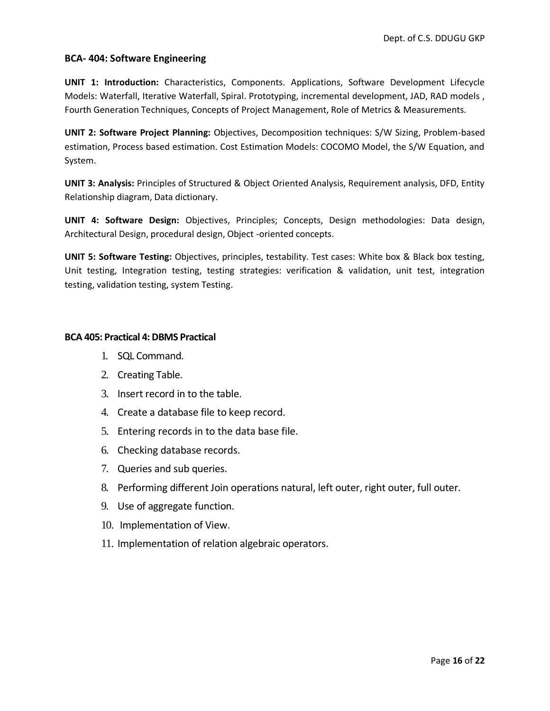#### **BCA- 404: Software Engineering**

**UNIT 1: Introduction:** Characteristics, Components. Applications, Software Development Lifecycle Models: Waterfall, Iterative Waterfall, Spiral. Prototyping, incremental development, JAD, RAD models , Fourth Generation Techniques, Concepts of Project Management, Role of Metrics & Measurements.

**UNIT 2: Software Project Planning:** Objectives, Decomposition techniques: S/W Sizing, Problem-based estimation, Process based estimation. Cost Estimation Models: COCOMO Model, the S/W Equation, and System.

**UNIT 3: Analysis:** Principles of Structured & Object Oriented Analysis, Requirement analysis, DFD, Entity Relationship diagram, Data dictionary.

**UNIT 4: Software Design:** Objectives, Principles; Concepts, Design methodologies: Data design, Architectural Design, procedural design, Object -oriented concepts.

**UNIT 5: Software Testing:** Objectives, principles, testability. Test cases: White box & Black box testing, Unit testing, Integration testing, testing strategies: verification & validation, unit test, integration testing, validation testing, system Testing.

#### **BCA 405: Practical 4: DBMS Practical**

- 1. SQL Command.
- 2. Creating Table.
- 3. Insert record in to the table.
- 4. Create a database file to keep record.
- 5. Entering records in to the data base file.
- 6. Checking database records.
- 7. Queries and sub queries.
- 8. Performing different Join operations natural, left outer, right outer, full outer.
- 9. Use of aggregate function.
- 10. Implementation of View.
- 11. Implementation of relation algebraic operators.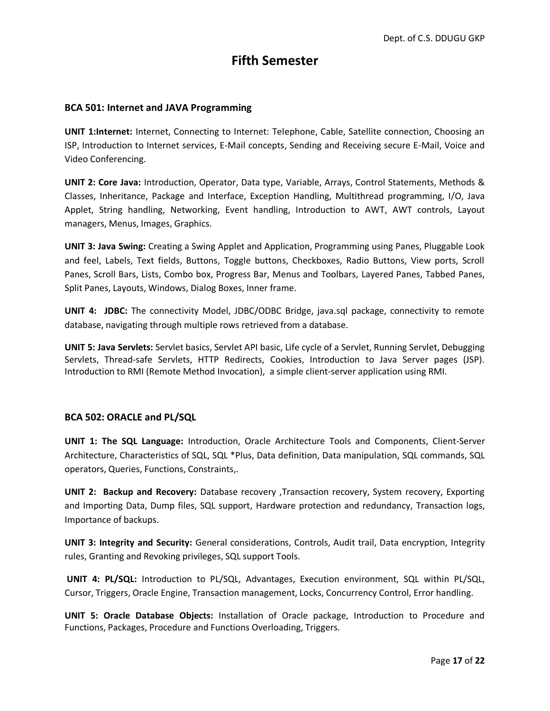# **Fifth Semester**

#### **BCA 501: Internet and JAVA Programming**

**UNIT 1:Internet:** Internet, Connecting to Internet: Telephone, Cable, Satellite connection, Choosing an ISP, Introduction to Internet services, E-Mail concepts, Sending and Receiving secure E-Mail, Voice and Video Conferencing.

**UNIT 2: Core Java:** Introduction, Operator, Data type, Variable, Arrays, Control Statements, Methods & Classes, Inheritance, Package and Interface, Exception Handling, Multithread programming, I/O, Java Applet, String handling, Networking, Event handling, Introduction to AWT, AWT controls, Layout managers, Menus, Images, Graphics.

**UNIT 3: Java Swing:** Creating a Swing Applet and Application, Programming using Panes, Pluggable Look and feel, Labels, Text fields, Buttons, Toggle buttons, Checkboxes, Radio Buttons, View ports, Scroll Panes, Scroll Bars, Lists, Combo box, Progress Bar, Menus and Toolbars, Layered Panes, Tabbed Panes, Split Panes, Layouts, Windows, Dialog Boxes, Inner frame.

**UNIT 4: JDBC:** The connectivity Model, JDBC/ODBC Bridge, java.sql package, connectivity to remote database, navigating through multiple rows retrieved from a database.

**UNIT 5: Java Servlets:** Servlet basics, Servlet API basic, Life cycle of a Servlet, Running Servlet, Debugging Servlets, Thread-safe Servlets, HTTP Redirects, Cookies, Introduction to Java Server pages (JSP). Introduction to RMI (Remote Method Invocation), a simple client-server application using RMI.

#### **BCA 502: ORACLE and PL/SQL**

**UNIT 1: The SQL Language:** Introduction, Oracle Architecture Tools and Components, Client-Server Architecture, Characteristics of SQL, SQL \*Plus, Data definition, Data manipulation, SQL commands, SQL operators, Queries, Functions, Constraints,.

**UNIT 2: Backup and Recovery:** Database recovery ,Transaction recovery, System recovery, Exporting and Importing Data, Dump files, SQL support, Hardware protection and redundancy, Transaction logs, Importance of backups.

**UNIT 3: Integrity and Security:** General considerations, Controls, Audit trail, Data encryption, Integrity rules, Granting and Revoking privileges, SQL support Tools.

**UNIT 4: PL/SQL:** Introduction to PL/SQL, Advantages, Execution environment, SQL within PL/SQL, Cursor, Triggers, Oracle Engine, Transaction management, Locks, Concurrency Control, Error handling.

**UNIT 5: Oracle Database Objects:** Installation of Oracle package, Introduction to Procedure and Functions, Packages, Procedure and Functions Overloading, Triggers.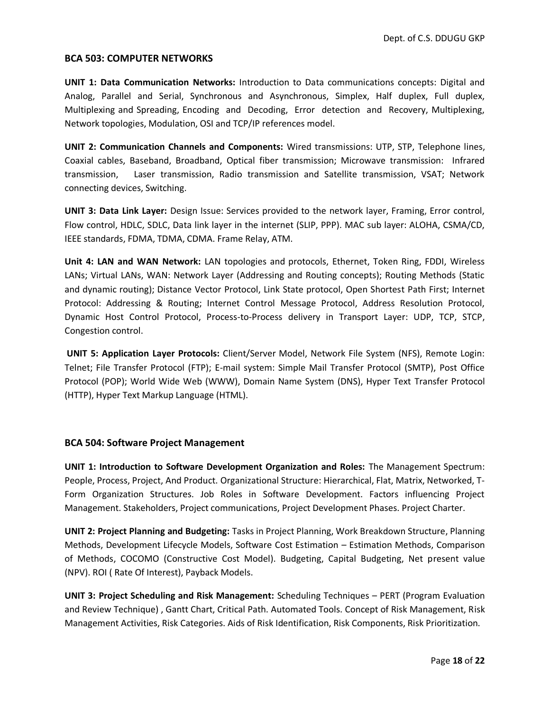#### **BCA 503: COMPUTER NETWORKS**

**UNIT 1: Data Communication Networks:** Introduction to Data communications concepts: Digital and Analog, Parallel and Serial, Synchronous and Asynchronous, Simplex, Half duplex, Full duplex, Multiplexing and Spreading, Encoding and Decoding, Error detection and Recovery, Multiplexing, Network topologies, Modulation, OSI and TCP/IP references model.

**UNIT 2: Communication Channels and Components:** Wired transmissions: UTP, STP, Telephone lines, Coaxial cables, Baseband, Broadband, Optical fiber transmission; Microwave transmission: Infrared transmission, Laser transmission, Radio transmission and Satellite transmission, VSAT; Network connecting devices, Switching.

**UNIT 3: Data Link Layer:** Design Issue: Services provided to the network layer, Framing, Error control, Flow control, HDLC, SDLC, Data link layer in the internet (SLIP, PPP). MAC sub layer: ALOHA, CSMA/CD, IEEE standards, FDMA, TDMA, CDMA. Frame Relay, ATM.

**Unit 4: LAN and WAN Network:** LAN topologies and protocols, Ethernet, Token Ring, FDDI, Wireless LANs; Virtual LANs, WAN: Network Layer (Addressing and Routing concepts); Routing Methods (Static and dynamic routing); Distance Vector Protocol, Link State protocol, Open Shortest Path First; Internet Protocol: Addressing & Routing; Internet Control Message Protocol, Address Resolution Protocol, Dynamic Host Control Protocol, Process-to-Process delivery in Transport Layer: UDP, TCP, STCP, Congestion control.

**UNIT 5: Application Layer Protocols:** Client/Server Model, Network File System (NFS), Remote Login: Telnet; File Transfer Protocol (FTP); E-mail system: Simple Mail Transfer Protocol (SMTP), Post Office Protocol (POP); World Wide Web (WWW), Domain Name System (DNS), Hyper Text Transfer Protocol (HTTP), Hyper Text Markup Language (HTML).

#### **BCA 504: Software Project Management**

**UNIT 1: Introduction to Software Development Organization and Roles:** The Management Spectrum: People, Process, Project, And Product. Organizational Structure: Hierarchical, Flat, Matrix, Networked, T-Form Organization Structures. Job Roles in Software Development. Factors influencing Project Management. Stakeholders, Project communications, Project Development Phases. Project Charter.

**UNIT 2: Project Planning and Budgeting:** Tasks in Project Planning, Work Breakdown Structure, Planning Methods, Development Lifecycle Models, Software Cost Estimation – Estimation Methods, Comparison of Methods, COCOMO (Constructive Cost Model). Budgeting, Capital Budgeting, Net present value (NPV). ROI ( Rate Of Interest), Payback Models.

**UNIT 3: Project Scheduling and Risk Management:** Scheduling Techniques – PERT (Program Evaluation and Review Technique) , Gantt Chart, Critical Path. Automated Tools. Concept of Risk Management, Risk Management Activities, Risk Categories. Aids of Risk Identification, Risk Components, Risk Prioritization.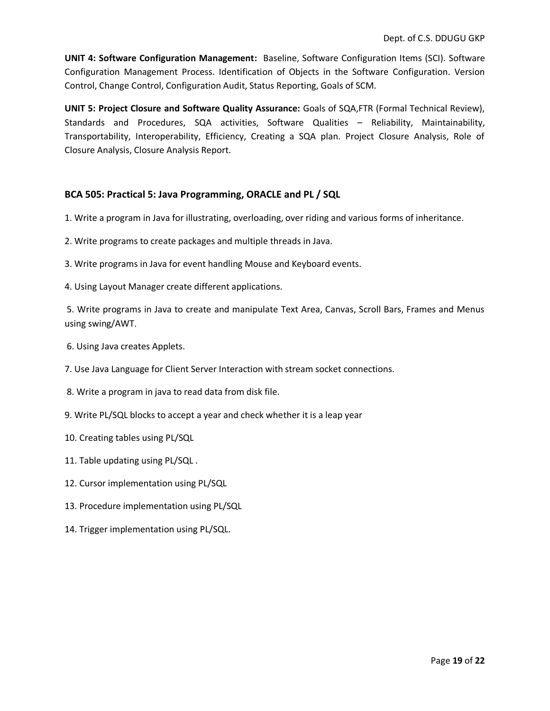**UNIT 4: Software Configuration Management:** Baseline, Software Configuration Items (SCI). Software Configuration Management Process. Identification of Objects in the Software Configuration. Version Control, Change Control, Configuration Audit, Status Reporting, Goals of SCM.

**UNIT 5: Project Closure and Software Quality Assurance:** Goals of SQA,FTR (Formal Technical Review), Standards and Procedures, SQA activities, Software Qualities – Reliability, Maintainability, Transportability, Interoperability, Efficiency, Creating a SQA plan. Project Closure Analysis, Role of Closure Analysis, Closure Analysis Report.

#### **BCA 505: Practical 5: Java Programming, ORACLE and PL / SQL**

- 1. Write a program in Java for illustrating, overloading, over riding and various forms of inheritance.
- 2. Write programs to create packages and multiple threads in Java.
- 3. Write programs in Java for event handling Mouse and Keyboard events.
- 4. Using Layout Manager create different applications.

5. Write programs in Java to create and manipulate Text Area, Canvas, Scroll Bars, Frames and Menus using swing/AWT.

- 6. Using Java creates Applets.
- 7. Use Java Language for Client Server Interaction with stream socket connections.
- 8. Write a program in java to read data from disk file.
- 9. Write PL/SQL blocks to accept a year and check whether it is a leap year
- 10. Creating tables using PL/SQL
- 11. Table updating using PL/SQL .
- 12. Cursor implementation using PL/SQL
- 13. Procedure implementation using PL/SQL
- 14. Trigger implementation using PL/SQL.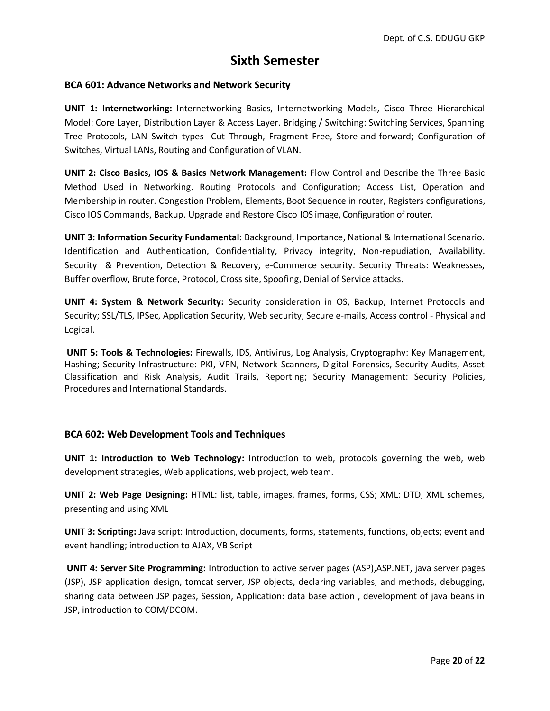### **Sixth Semester**

#### **BCA 601: Advance Networks and Network Security**

**UNIT 1: Internetworking:** Internetworking Basics, Internetworking Models, Cisco Three Hierarchical Model: Core Layer, Distribution Layer & Access Layer. Bridging / Switching: Switching Services, Spanning Tree Protocols, LAN Switch types- Cut Through, Fragment Free, Store-and-forward; Configuration of Switches, Virtual LANs, Routing and Configuration of VLAN.

**UNIT 2: Cisco Basics, IOS & Basics Network Management:** Flow Control and Describe the Three Basic Method Used in Networking. Routing Protocols and Configuration; Access List, Operation and Membership in router. Congestion Problem, Elements, Boot Sequence in router, Registers configurations, Cisco IOS Commands, Backup. Upgrade and Restore Cisco IOS image, Configuration of router.

**UNIT 3: Information Security Fundamental:** Background, Importance, National & International Scenario. Identification and Authentication, Confidentiality, Privacy integrity, Non-repudiation, Availability. Security & Prevention, Detection & Recovery, e-Commerce security. Security Threats: Weaknesses, Buffer overflow, Brute force, Protocol, Cross site, Spoofing, Denial of Service attacks.

**UNIT 4: System & Network Security:** Security consideration in OS, Backup, Internet Protocols and Security; SSL/TLS, IPSec, Application Security, Web security, Secure e-mails, Access control - Physical and Logical.

**UNIT 5: Tools & Technologies:** Firewalls, IDS, Antivirus, Log Analysis, Cryptography: Key Management, Hashing; Security Infrastructure: PKI, VPN, Network Scanners, Digital Forensics, Security Audits, Asset Classification and Risk Analysis, Audit Trails, Reporting; Security Management: Security Policies, Procedures and International Standards.

#### **BCA 602: Web Development Tools and Techniques**

**UNIT 1: Introduction to Web Technology:** Introduction to web, protocols governing the web, web development strategies, Web applications, web project, web team.

**UNIT 2: Web Page Designing:** HTML: list, table, images, frames, forms, CSS; XML: DTD, XML schemes, presenting and using XML

**UNIT 3: Scripting:** Java script: Introduction, documents, forms, statements, functions, objects; event and event handling; introduction to AJAX, VB Script

**UNIT 4: Server Site Programming:** Introduction to active server pages (ASP),ASP.NET, java server pages (JSP), JSP application design, tomcat server, JSP objects, declaring variables, and methods, debugging, sharing data between JSP pages, Session, Application: data base action , development of java beans in JSP, introduction to COM/DCOM.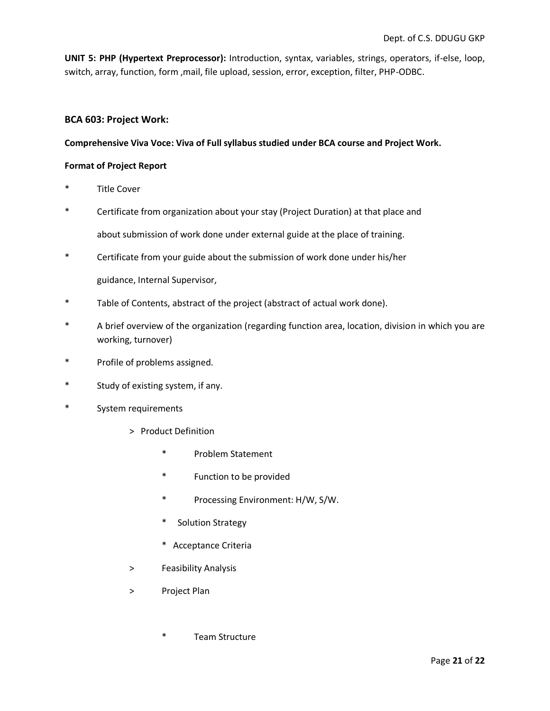**UNIT 5: PHP (Hypertext Preprocessor):** Introduction, syntax, variables, strings, operators, if-else, loop, switch, array, function, form ,mail, file upload, session, error, exception, filter, PHP-ODBC.

#### **BCA 603: Project Work:**

#### **Comprehensive Viva Voce: Viva of Full syllabus studied under BCA course and Project Work.**

#### **Format of Project Report**

- Title Cover
- \* Certificate from organization about your stay (Project Duration) at that place and about submission of work done under external guide at the place of training.
- \* Certificate from your guide about the submission of work done under his/her guidance, Internal Supervisor,
- \* Table of Contents, abstract of the project (abstract of actual work done).
- \* A brief overview of the organization (regarding function area, location, division in which you are working, turnover)
- \* Profile of problems assigned.
- \* Study of existing system, if any.
- \* System requirements
	- > Product Definition
		- \* Problem Statement
		- \* Function to be provided
		- \* Processing Environment: H/W, S/W.
		- \* Solution Strategy
		- \* Acceptance Criteria
	- > Feasibility Analysis
	- > Project Plan
		- \* Team Structure